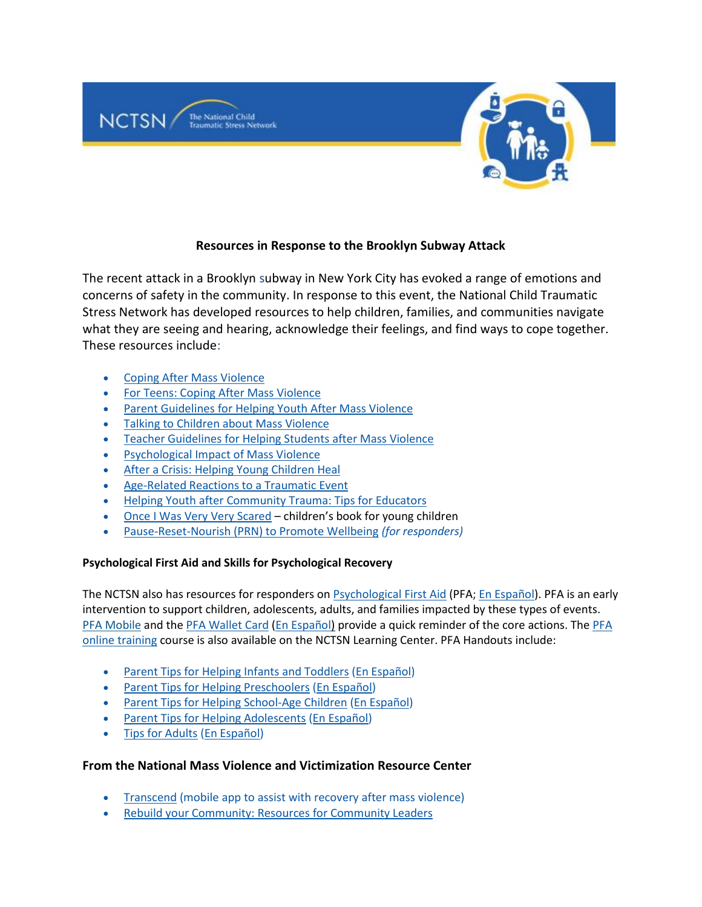

# **Resources in Response to the Brooklyn Subway Attack**

The recent attack in a Brooklyn subway in New York City has evoked a range of emotions and concerns of safety in the community. In response to this event, the National Child Traumatic Stress Network has developed resources to help children, families, and communities navigate what they are seeing and hearing, acknowledge their feelings, and find ways to cope together. These resources include:

- Coping After Mass Violence
- For Teens: Coping After Mass Violence
- Parent Guidelines for Helping Youth After Mass Violence
- Talking to Children about Mass Violence
- Teacher Guidelines for Helping Students after Mass Violence
- Psychological Impact of Mass Violence
- After a Crisis: Helping Young Children Heal
- Age-Related Reactions to a Traumatic Event
- Helping Youth after Community Trauma: Tips for Educators
- Once I Was Very Very Scared children's book for young children
- Pause-Reset-Nourish (PRN) to Promote Wellbeing *(for responders)*

## **Psychological First Aid and Skills for Psychological Recovery**

The NCTSN also has resources for responders on Psychological First Aid (PFA; En Español). PFA is an early intervention to support children, adolescents, adults, and families impacted by these types of events. PFA Mobile and the PFA Wallet Card (En Español) provide a quick reminder of the core actions. The PFA online training course is also available on the NCTSN Learning Center. PFA Handouts include:

- Parent Tips for Helping Infants and Toddlers (En Español)
- Parent Tips for Helping Preschoolers (En Español)
- Parent Tips for Helping School-Age Children (En Español)
- Parent Tips for Helping Adolescents (En Español)
- Tips for Adults (En Español)

## **From the National Mass Violence and Victimization Resource Center**

- Transcend (mobile app to assist with recovery after mass violence)
- Rebuild your Community: Resources for Community Leaders